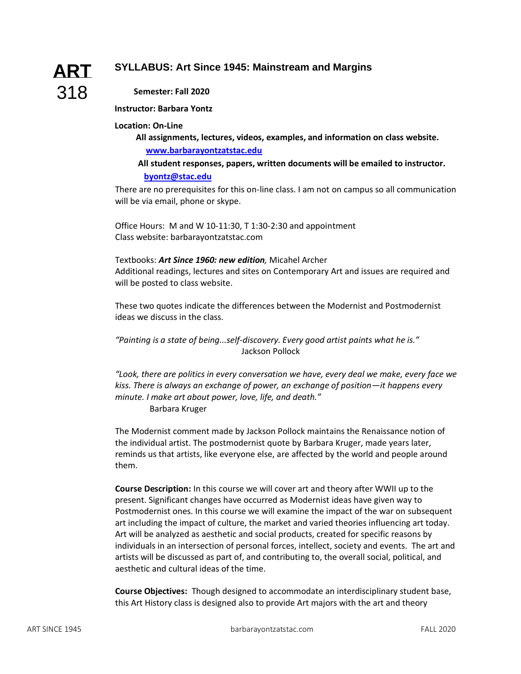# **SYLLABUS: Art Since 1945: Mainstream and Margins**

# **ART** 318

## **Semester: Fall 2020**

#### **Instructor: Barbara Yontz**

#### **Location: On-Line**

**All assignments, lectures, videos, examples, and information on class website. [www.barbarayontzatstac.edu](http://www.barbarayontzatstac.edu/)**

### **All student responses, papers, written documents will be emailed to instructor. [byontz@stac.edu](mailto:byontz@stac.edu)**

There are no prerequisites for this on-line class. I am not on campus so all communication will be via email, phone or skype.

Office Hours: M and W 10-11:30, T 1:30-2:30 and appointment Class website: barbarayontzatstac.com

#### Textbooks: *Art Since 1960: new edition,* Micahel Archer

Additional readings, lectures and sites on Contemporary Art and issues are required and will be posted to class website.

These two quotes indicate the differences between the Modernist and Postmodernist ideas we discuss in the class.

*"Painting is a state of being...self-discovery. Every good artist paints what he is."*  Jackson Pollock

*"Look, there are politics in every conversation we have, every deal we make, every face we kiss. There is always an exchange of power, an exchange of position—it happens every minute. I make art about power, love, life, and death."* 

Barbara Kruger

The Modernist comment made by Jackson Pollock maintains the Renaissance notion of the individual artist. The postmodernist quote by Barbara Kruger, made years later, reminds us that artists, like everyone else, are affected by the world and people around them.

**Course Description:** In this course we will cover art and theory after WWII up to the present. Significant changes have occurred as Modernist ideas have given way to Postmodernist ones. In this course we will examine the impact of the war on subsequent art including the impact of culture, the market and varied theories influencing art today. Art will be analyzed as aesthetic and social products, created for specific reasons by individuals in an intersection of personal forces, intellect, society and events. The art and artists will be discussed as part of, and contributing to, the overall social, political, and aesthetic and cultural ideas of the time.

**Course Objectives:** Though designed to accommodate an interdisciplinary student base, this Art History class is designed also to provide Art majors with the art and theory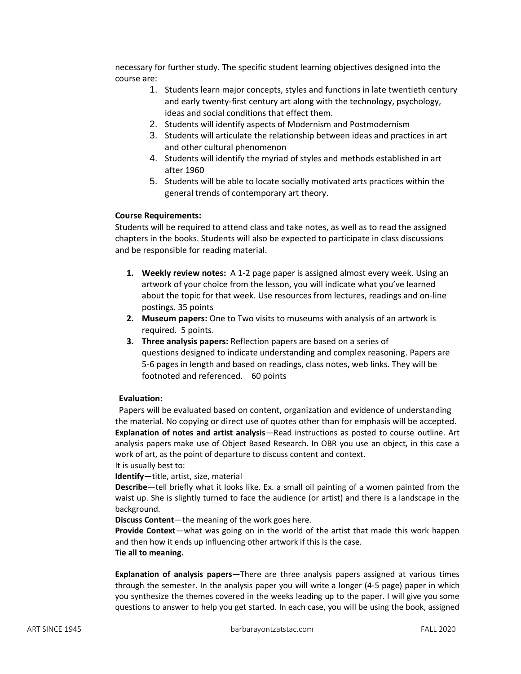necessary for further study. The specific student learning objectives designed into the course are:

- 1. Students learn major concepts, styles and functions in late twentieth century and early twenty-first century art along with the technology, psychology, ideas and social conditions that effect them.
- 2. Students will identify aspects of Modernism and Postmodernism
- 3. Students will articulate the relationship between ideas and practices in art and other cultural phenomenon
- 4. Students will identify the myriad of styles and methods established in art after 1960
- 5. Students will be able to locate socially motivated arts practices within the general trends of contemporary art theory.

#### **Course Requirements:**

Students will be required to attend class and take notes, as well as to read the assigned chapters in the books. Students will also be expected to participate in class discussions and be responsible for reading material.

- **1. Weekly review notes:** A 1-2 page paper is assigned almost every week. Using an artwork of your choice from the lesson, you will indicate what you've learned about the topic for that week. Use resources from lectures, readings and on-line postings. 35 points
- **2. Museum papers:** One to Two visits to museums with analysis of an artwork is required. 5 points.
- **3. Three analysis papers:** Reflection papers are based on a series of questions designed to indicate understanding and complex reasoning. Papers are 5-6 pages in length and based on readings, class notes, web links. They will be footnoted and referenced. 60 points

#### **Evaluation:**

Papers will be evaluated based on content, organization and evidence of understanding the material. No copying or direct use of quotes other than for emphasis will be accepted. **Explanation of notes and artist analysis**—Read instructions as posted to course outline. Art analysis papers make use of Object Based Research. In OBR you use an object, in this case a work of art, as the point of departure to discuss content and context. It is usually best to:

**Identify**—title, artist, size, material

**Describe**—tell briefly what it looks like. Ex. a small oil painting of a women painted from the waist up. She is slightly turned to face the audience (or artist) and there is a landscape in the background.

**Discuss Content**—the meaning of the work goes here.

**Provide Context**—what was going on in the world of the artist that made this work happen and then how it ends up influencing other artwork if this is the case.

**Tie all to meaning.**

**Explanation of analysis papers**—There are three analysis papers assigned at various times through the semester. In the analysis paper you will write a longer (4-5 page) paper in which you synthesize the themes covered in the weeks leading up to the paper. I will give you some questions to answer to help you get started. In each case, you will be using the book, assigned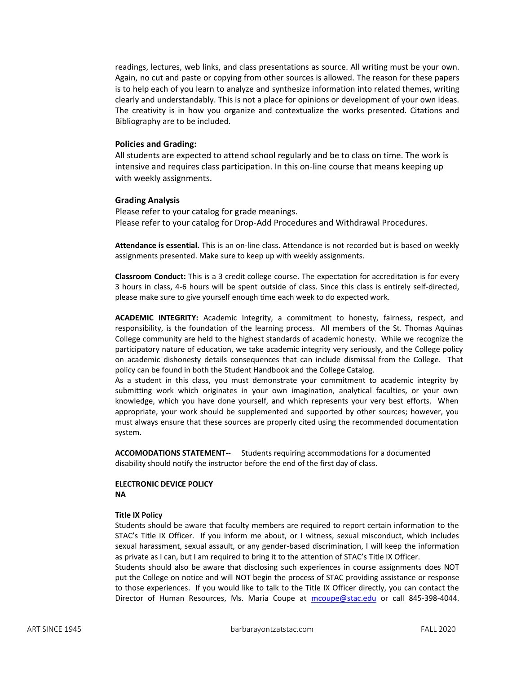readings, lectures, web links, and class presentations as source. All writing must be your own. Again, no cut and paste or copying from other sources is allowed. The reason for these papers is to help each of you learn to analyze and synthesize information into related themes, writing clearly and understandably. This is not a place for opinions or development of your own ideas. The creativity is in how you organize and contextualize the works presented. Citations and Bibliography are to be included.

#### **Policies and Grading:**

All students are expected to attend school regularly and be to class on time. The work is intensive and requires class participation. In this on-line course that means keeping up with weekly assignments.

#### **Grading Analysis**

Please refer to your catalog for grade meanings. Please refer to your catalog for Drop-Add Procedures and Withdrawal Procedures.

**Attendance is essential.** This is an on-line class. Attendance is not recorded but is based on weekly assignments presented. Make sure to keep up with weekly assignments.

**Classroom Conduct:** This is a 3 credit college course. The expectation for accreditation is for every 3 hours in class, 4-6 hours will be spent outside of class. Since this class is entirely self-directed, please make sure to give yourself enough time each week to do expected work.

**ACADEMIC INTEGRITY:** Academic Integrity, a commitment to honesty, fairness, respect, and responsibility, is the foundation of the learning process. All members of the St. Thomas Aquinas College community are held to the highest standards of academic honesty. While we recognize the participatory nature of education, we take academic integrity very seriously, and the College policy on academic dishonesty details consequences that can include dismissal from the College. That policy can be found in both the Student Handbook and the College Catalog.

As a student in this class, you must demonstrate your commitment to academic integrity by submitting work which originates in your own imagination, analytical faculties, or your own knowledge, which you have done yourself, and which represents your very best efforts. When appropriate, your work should be supplemented and supported by other sources; however, you must always ensure that these sources are properly cited using the recommended documentation system.

**ACCOMODATIONS STATEMENT--** Students requiring accommodations for a documented disability should notify the instructor before the end of the first day of class.

#### **ELECTRONIC DEVICE POLICY NA**

#### **Title IX Policy**

Students should be aware that faculty members are required to report certain information to the STAC's Title IX Officer. If you inform me about, or I witness, sexual misconduct, which includes sexual harassment, sexual assault, or any gender-based discrimination, I will keep the information as private as I can, but I am required to bring it to the attention of STAC's Title IX Officer.

Students should also be aware that disclosing such experiences in course assignments does NOT put the College on notice and will NOT begin the process of STAC providing assistance or response to those experiences. If you would like to talk to the Title IX Officer directly, you can contact the Director of Human Resources, Ms. Maria Coupe at [mcoupe@stac.edu](mailto:mcoupe@stac.edu) or call 845-398-4044.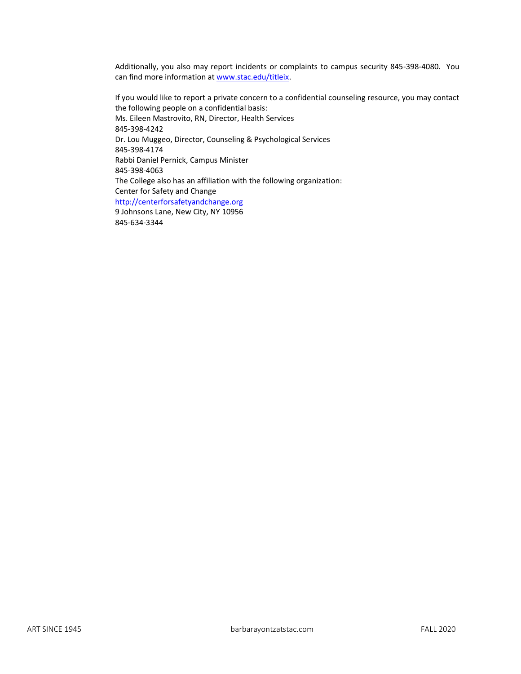Additionally, you also may report incidents or complaints to campus security 845-398-4080. You can find more information at [www.stac.edu/titleix.](http://www.stac.edu/titleix)

If you would like to report a private concern to a confidential counseling resource, you may contact the following people on a confidential basis: Ms. Eileen Mastrovito, RN, Director, Health Services 845-398-4242 Dr. Lou Muggeo, Director, Counseling & Psychological Services 845-398-4174 Rabbi Daniel Pernick, Campus Minister 845-398-4063 The College also has an affiliation with the following organization: Center for Safety and Change [http://centerforsafetyandchange.org](http://centerforsafetyandchange.org/) 9 Johnsons Lane, New City, NY 10956

845-634-3344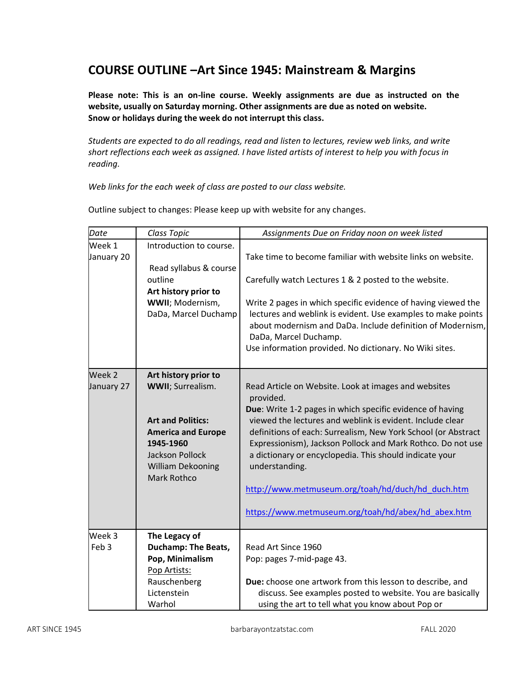# **COURSE OUTLINE –Art Since 1945: Mainstream & Margins**

**Please note: This is an on-line course. Weekly assignments are due as instructed on the website, usually on Saturday morning. Other assignments are due as noted on website. Snow or holidays during the week do not interrupt this class.** 

*Students are expected to do all readings, read and listen to lectures, review web links, and write short reflections each week as assigned. I have listed artists of interest to help you with focus in reading.*

*Web links for the each week of class are posted to our class website.*

| Date                       | Class Topic                                                                                                                                                                                  | Assignments Due on Friday noon on week listed                                                                                                                                                                                                                                                                                                                                                                                                                                                                       |
|----------------------------|----------------------------------------------------------------------------------------------------------------------------------------------------------------------------------------------|---------------------------------------------------------------------------------------------------------------------------------------------------------------------------------------------------------------------------------------------------------------------------------------------------------------------------------------------------------------------------------------------------------------------------------------------------------------------------------------------------------------------|
| Week 1<br>January 20       | Introduction to course.<br>Read syllabus & course<br>outline<br>Art history prior to<br>WWII; Modernism,<br>DaDa, Marcel Duchamp                                                             | Take time to become familiar with website links on website.<br>Carefully watch Lectures 1 & 2 posted to the website.<br>Write 2 pages in which specific evidence of having viewed the<br>lectures and weblink is evident. Use examples to make points<br>about modernism and DaDa. Include definition of Modernism,<br>DaDa, Marcel Duchamp.<br>Use information provided. No dictionary. No Wiki sites.                                                                                                             |
| Week 2<br>January 27       | Art history prior to<br><b>WWII</b> ; Surrealism.<br><b>Art and Politics:</b><br><b>America and Europe</b><br>1945-1960<br><b>Jackson Pollock</b><br><b>William Dekooning</b><br>Mark Rothco | Read Article on Website. Look at images and websites<br>provided.<br>Due: Write 1-2 pages in which specific evidence of having<br>viewed the lectures and weblink is evident. Include clear<br>definitions of each: Surrealism, New York School (or Abstract<br>Expressionism), Jackson Pollock and Mark Rothco. Do not use<br>a dictionary or encyclopedia. This should indicate your<br>understanding.<br>http://www.metmuseum.org/toah/hd/duch/hd_duch.htm<br>https://www.metmuseum.org/toah/hd/abex/hd_abex.htm |
| Week 3<br>Feb <sub>3</sub> | The Legacy of<br><b>Duchamp: The Beats,</b><br>Pop, Minimalism<br>Pop Artists:<br>Rauschenberg<br>Lictenstein<br>Warhol                                                                      | Read Art Since 1960<br>Pop: pages 7-mid-page 43.<br>Due: choose one artwork from this lesson to describe, and<br>discuss. See examples posted to website. You are basically<br>using the art to tell what you know about Pop or                                                                                                                                                                                                                                                                                     |

Outline subject to changes: Please keep up with website for any changes.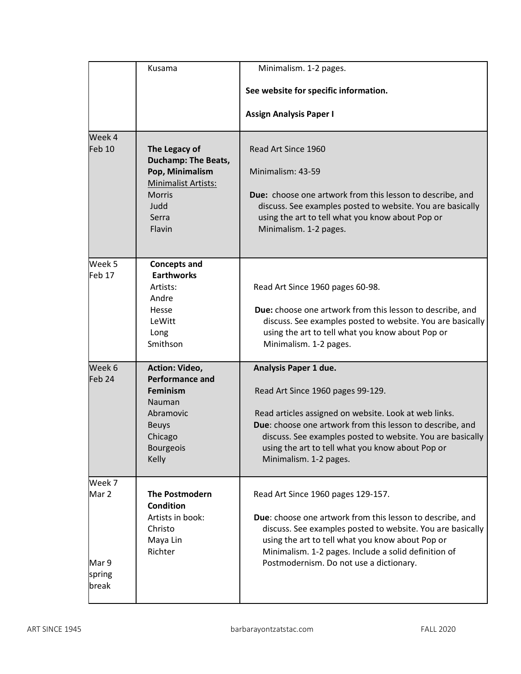|                   | Kusama                                 | Minimalism. 1-2 pages.                                                                                         |
|-------------------|----------------------------------------|----------------------------------------------------------------------------------------------------------------|
|                   |                                        | See website for specific information.                                                                          |
|                   |                                        |                                                                                                                |
|                   |                                        | <b>Assign Analysis Paper I</b>                                                                                 |
| Week 4            |                                        |                                                                                                                |
| Feb <sub>10</sub> | The Legacy of                          | Read Art Since 1960                                                                                            |
|                   | <b>Duchamp: The Beats,</b>             |                                                                                                                |
|                   | Pop, Minimalism<br>Minimalist Artists: | Minimalism: 43-59                                                                                              |
|                   | <b>Morris</b>                          | Due: choose one artwork from this lesson to describe, and                                                      |
|                   | Judd                                   | discuss. See examples posted to website. You are basically                                                     |
|                   | Serra                                  | using the art to tell what you know about Pop or                                                               |
|                   | Flavin                                 | Minimalism. 1-2 pages.                                                                                         |
|                   |                                        |                                                                                                                |
| Week 5            | <b>Concepts and</b>                    |                                                                                                                |
| Feb <sub>17</sub> | <b>Earthworks</b>                      |                                                                                                                |
|                   | Artists:<br>Andre                      | Read Art Since 1960 pages 60-98.                                                                               |
|                   | Hesse                                  | Due: choose one artwork from this lesson to describe, and                                                      |
|                   | LeWitt                                 | discuss. See examples posted to website. You are basically                                                     |
|                   | Long                                   | using the art to tell what you know about Pop or                                                               |
|                   | Smithson                               | Minimalism. 1-2 pages.                                                                                         |
| Week 6            | Action: Video,                         | Analysis Paper 1 due.                                                                                          |
| Feb <sub>24</sub> | <b>Performance and</b>                 |                                                                                                                |
|                   | <b>Feminism</b>                        | Read Art Since 1960 pages 99-129.                                                                              |
|                   | Nauman<br>Abramovic                    | Read articles assigned on website. Look at web links.                                                          |
|                   | <b>Beuys</b>                           | Due: choose one artwork from this lesson to describe, and                                                      |
|                   | Chicago                                | discuss. See examples posted to website. You are basically                                                     |
|                   | <b>Bourgeois</b>                       | using the art to tell what you know about Pop or                                                               |
|                   | Kelly                                  | Minimalism. 1-2 pages.                                                                                         |
| Week 7            |                                        |                                                                                                                |
| Mar 2             | <b>The Postmodern</b>                  | Read Art Since 1960 pages 129-157.                                                                             |
|                   | <b>Condition</b>                       |                                                                                                                |
|                   | Artists in book:<br>Christo            | Due: choose one artwork from this lesson to describe, and                                                      |
|                   | Maya Lin                               | discuss. See examples posted to website. You are basically<br>using the art to tell what you know about Pop or |
|                   | Richter                                | Minimalism. 1-2 pages. Include a solid definition of                                                           |
| Mar 9             |                                        | Postmodernism. Do not use a dictionary.                                                                        |
| spring            |                                        |                                                                                                                |
| break             |                                        |                                                                                                                |
|                   |                                        |                                                                                                                |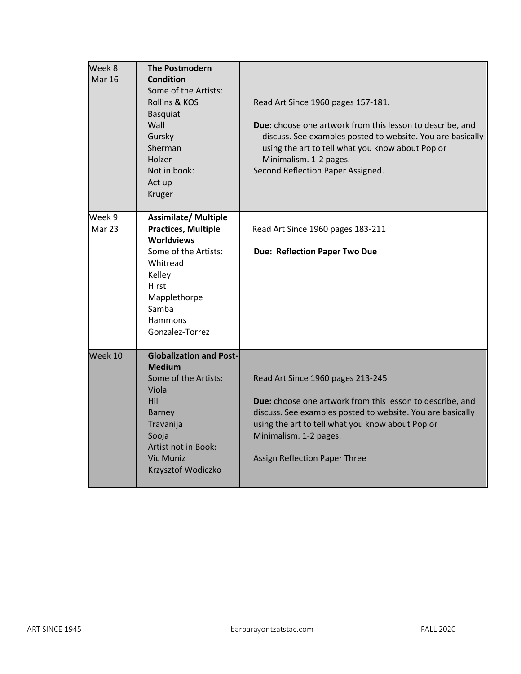| Week 8<br><b>Mar 16</b> | <b>The Postmodern</b><br>Condition<br>Some of the Artists:<br>Rollins & KOS<br><b>Basquiat</b><br>Wall<br>Gursky<br>Sherman<br>Holzer<br>Not in book:<br>Act up<br>Kruger                        | Read Art Since 1960 pages 157-181.<br>Due: choose one artwork from this lesson to describe, and<br>discuss. See examples posted to website. You are basically<br>using the art to tell what you know about Pop or<br>Minimalism. 1-2 pages.<br>Second Reflection Paper Assigned. |
|-------------------------|--------------------------------------------------------------------------------------------------------------------------------------------------------------------------------------------------|----------------------------------------------------------------------------------------------------------------------------------------------------------------------------------------------------------------------------------------------------------------------------------|
| Week 9<br>Mar 23        | <b>Assimilate/ Multiple</b><br><b>Practices, Multiple</b><br><b>Worldviews</b><br>Some of the Artists:<br>Whitread<br>Kelley<br>HIrst<br>Mapplethorpe<br>Samba<br>Hammons<br>Gonzalez-Torrez     | Read Art Since 1960 pages 183-211<br><b>Due: Reflection Paper Two Due</b>                                                                                                                                                                                                        |
| Week 10                 | <b>Globalization and Post-</b><br><b>Medium</b><br>Some of the Artists:<br>Viola<br>Hill<br><b>Barney</b><br>Travanija<br>Sooja<br>Artist not in Book:<br><b>Vic Muniz</b><br>Krzysztof Wodiczko | Read Art Since 1960 pages 213-245<br>Due: choose one artwork from this lesson to describe, and<br>discuss. See examples posted to website. You are basically<br>using the art to tell what you know about Pop or<br>Minimalism. 1-2 pages.<br>Assign Reflection Paper Three      |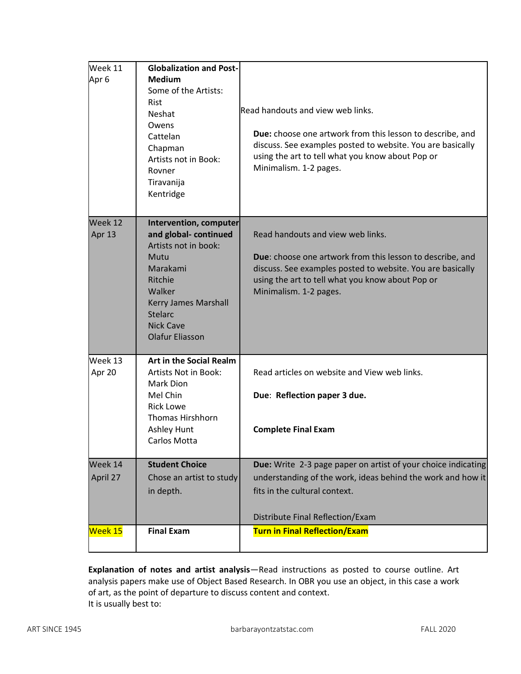| Week 11<br>Apr <sub>6</sub> | <b>Globalization and Post-</b><br><b>Medium</b><br>Some of the Artists:<br><b>Rist</b><br><b>Neshat</b><br>Owens<br>Cattelan<br>Chapman<br>Artists not in Book:<br>Rovner<br>Tiravanija<br>Kentridge    | Read handouts and view web links.<br>Due: choose one artwork from this lesson to describe, and<br>discuss. See examples posted to website. You are basically<br>using the art to tell what you know about Pop or<br>Minimalism. 1-2 pages. |
|-----------------------------|---------------------------------------------------------------------------------------------------------------------------------------------------------------------------------------------------------|--------------------------------------------------------------------------------------------------------------------------------------------------------------------------------------------------------------------------------------------|
| Week 12<br>Apr 13           | Intervention, computer<br>and global-continued<br>Artists not in book:<br>Mutu<br>Marakami<br>Ritchie<br>Walker<br>Kerry James Marshall<br><b>Stelarc</b><br><b>Nick Cave</b><br><b>Olafur Eliasson</b> | Read handouts and view web links.<br>Due: choose one artwork from this lesson to describe, and<br>discuss. See examples posted to website. You are basically<br>using the art to tell what you know about Pop or<br>Minimalism. 1-2 pages. |
| Week 13<br>Apr 20           | <b>Art in the Social Realm</b><br>Artists Not in Book:<br>Mark Dion<br>Mel Chin<br><b>Rick Lowe</b><br><b>Thomas Hirshhorn</b><br><b>Ashley Hunt</b><br>Carlos Motta                                    | Read articles on website and View web links.<br>Due: Reflection paper 3 due.<br><b>Complete Final Exam</b>                                                                                                                                 |
| Week 14<br>April 27         | <b>Student Choice</b><br>Chose an artist to study<br>in depth.                                                                                                                                          | Due: Write 2-3 page paper on artist of your choice indicating<br>understanding of the work, ideas behind the work and how it<br>fits in the cultural context.<br>Distribute Final Reflection/Exam                                          |
| Week 15                     | <b>Final Exam</b>                                                                                                                                                                                       | <b>Turn in Final Reflection/Exam</b>                                                                                                                                                                                                       |

**Explanation of notes and artist analysis**—Read instructions as posted to course outline. Art analysis papers make use of Object Based Research. In OBR you use an object, in this case a work of art, as the point of departure to discuss content and context. It is usually best to: